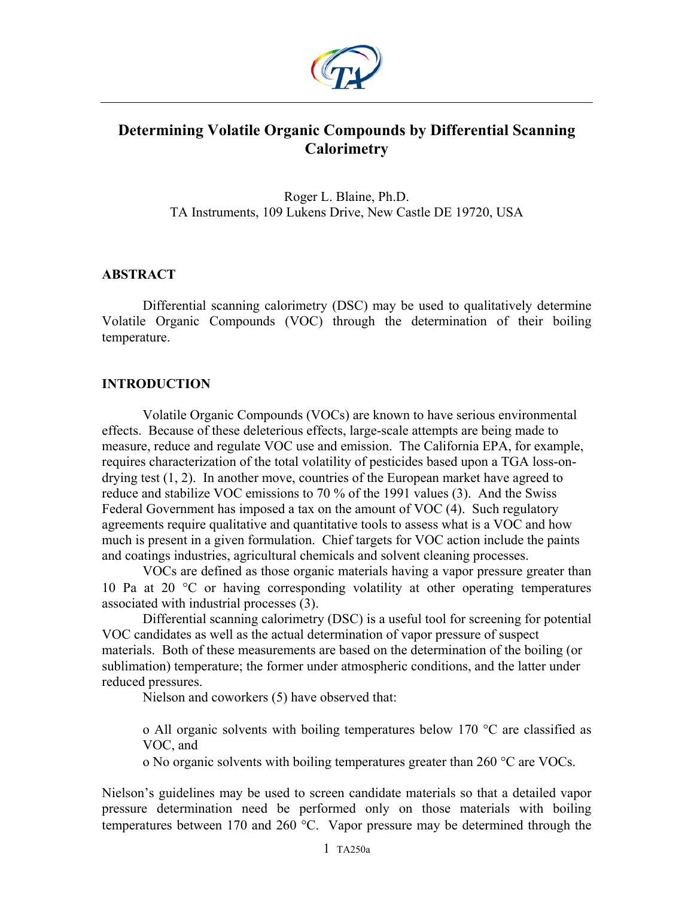

# **Determining Volatile Organic Compounds by Differential Scanning Calorimetry**

Roger L. Blaine, Ph.D. TA Instruments, 109 Lukens Drive, New Castle DE 19720, USA

## **ABSTRACT**

Differential scanning calorimetry (DSC) may be used to qualitatively determine Volatile Organic Compounds (VOC) through the determination of their boiling temperature.

## **INTRODUCTION**

Volatile Organic Compounds (VOCs) are known to have serious environmental effects. Because of these deleterious effects, large-scale attempts are being made to measure, reduce and regulate VOC use and emission. The California EPA, for example, requires characterization of the total volatility of pesticides based upon a TGA loss-ondrying test (1, 2). In another move, countries of the European market have agreed to reduce and stabilize VOC emissions to 70 % of the 1991 values (3). And the Swiss Federal Government has imposed a tax on the amount of VOC (4). Such regulatory agreements require qualitative and quantitative tools to assess what is a VOC and how much is present in a given formulation. Chief targets for VOC action include the paints and coatings industries, agricultural chemicals and solvent cleaning processes.

VOCs are defined as those organic materials having a vapor pressure greater than 10 Pa at 20 °C or having corresponding volatility at other operating temperatures associated with industrial processes (3).

Differential scanning calorimetry (DSC) is a useful tool for screening for potential VOC candidates as well as the actual determination of vapor pressure of suspect materials. Both of these measurements are based on the determination of the boiling (or sublimation) temperature; the former under atmospheric conditions, and the latter under reduced pressures.

Nielson and coworkers (5) have observed that:

o All organic solvents with boiling temperatures below 170 °C are classified as VOC, and

o No organic solvents with boiling temperatures greater than 260 °C are VOCs.

Nielson's guidelines may be used to screen candidate materials so that a detailed vapor pressure determination need be performed only on those materials with boiling temperatures between 170 and 260 °C. Vapor pressure may be determined through the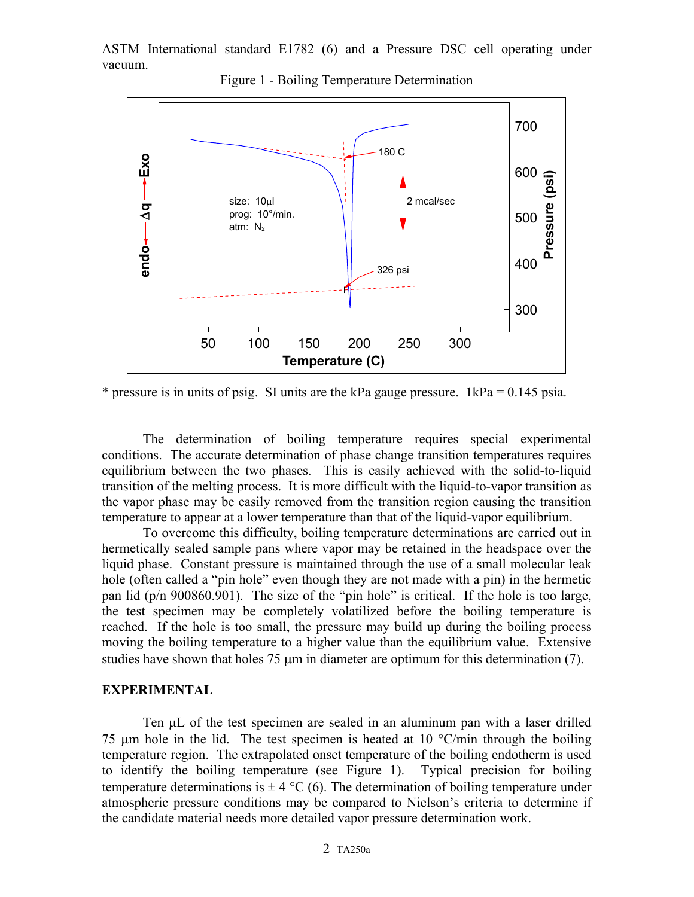ASTM International standard E1782 (6) and a Pressure DSC cell operating under vacuum.



Figure 1 - Boiling Temperature Determination

\* pressure is in units of psig. SI units are the kPa gauge pressure.  $1kPa = 0.145$  psia.

The determination of boiling temperature requires special experimental conditions. The accurate determination of phase change transition temperatures requires equilibrium between the two phases. This is easily achieved with the solid-to-liquid transition of the melting process. It is more difficult with the liquid-to-vapor transition as the vapor phase may be easily removed from the transition region causing the transition temperature to appear at a lower temperature than that of the liquid-vapor equilibrium.

To overcome this difficulty, boiling temperature determinations are carried out in hermetically sealed sample pans where vapor may be retained in the headspace over the liquid phase. Constant pressure is maintained through the use of a small molecular leak hole (often called a "pin hole" even though they are not made with a pin) in the hermetic pan lid (p/n 900860.901). The size of the "pin hole" is critical. If the hole is too large, the test specimen may be completely volatilized before the boiling temperature is reached. If the hole is too small, the pressure may build up during the boiling process moving the boiling temperature to a higher value than the equilibrium value. Extensive studies have shown that holes 75 µm in diameter are optimum for this determination (7).

#### **EXPERIMENTAL**

Ten  $\mu$ L of the test specimen are sealed in an aluminum pan with a laser drilled 75  $\mu$ m hole in the lid. The test specimen is heated at 10 °C/min through the boiling temperature region. The extrapolated onset temperature of the boiling endotherm is used to identify the boiling temperature (see Figure 1). Typical precision for boiling temperature determinations is  $\pm 4$  °C (6). The determination of boiling temperature under atmospheric pressure conditions may be compared to Nielson's criteria to determine if the candidate material needs more detailed vapor pressure determination work.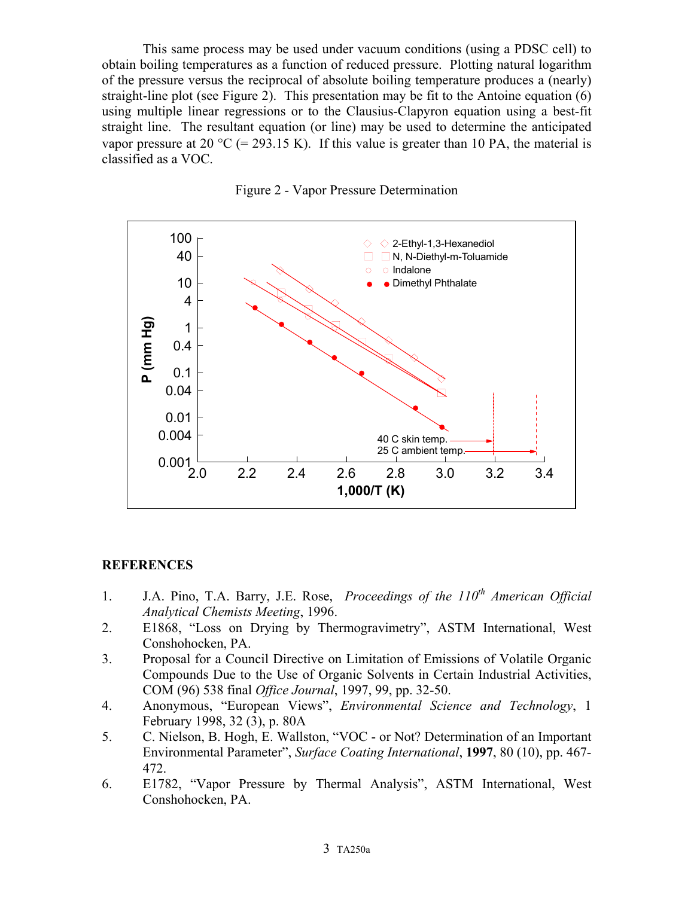This same process may be used under vacuum conditions (using a PDSC cell) to obtain boiling temperatures as a function of reduced pressure. Plotting natural logarithm of the pressure versus the reciprocal of absolute boiling temperature produces a (nearly) straight-line plot (see Figure 2). This presentation may be fit to the Antoine equation (6) using multiple linear regressions or to the Clausius-Clapyron equation using a best-fit straight line. The resultant equation (or line) may be used to determine the anticipated vapor pressure at 20 °C (= 293.15 K). If this value is greater than 10 PA, the material is classified as a VOC.





### **REFERENCES**

- 1. J.A. Pino, T.A. Barry, J.E. Rose, *Proceedings of the 110<sup>th</sup> American Official Analytical Chemists Meeting*, 1996.
- 2. E1868, "Loss on Drying by Thermogravimetry", ASTM International, West Conshohocken, PA.
- 3. Proposal for a Council Directive on Limitation of Emissions of Volatile Organic Compounds Due to the Use of Organic Solvents in Certain Industrial Activities, COM (96) 538 final *Office Journal*, 1997, 99, pp. 32-50.
- 4. Anonymous, "European Views", *Environmental Science and Technology*, 1 February 1998, 32 (3), p. 80A
- 5. C. Nielson, B. Hogh, E. Wallston, "VOC or Not? Determination of an Important Environmental Parameter", *Surface Coating International*, **1997**, 80 (10), pp. 467- 472.
- 6. E1782, "Vapor Pressure by Thermal Analysis", ASTM International, West Conshohocken, PA.